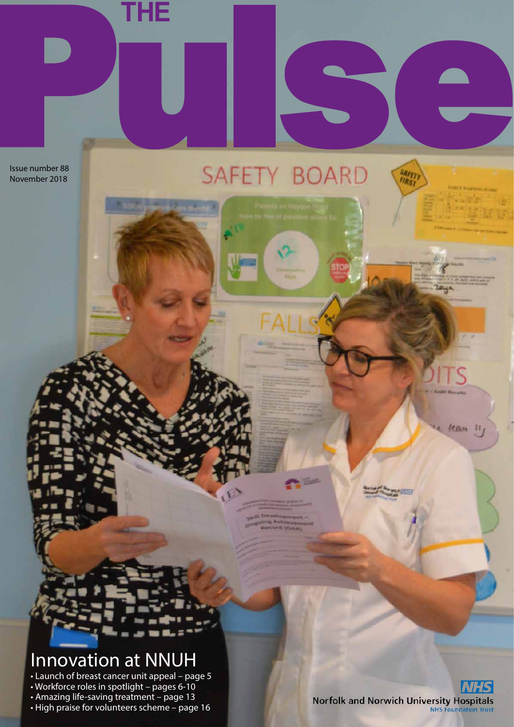Issue number 88 November 2018

# THE<br> **THE** PULSE OF THE PULSE OF THE PULSE OF THE PULSE OF THE PULSE OF THE PULSE OF THE PULSE OF THE PULSE OF THE PULSE OF THE PULSE OF THE PULSE OF THE PULSE OF THE PULSE OF THE PULSE OF THE PULSE OF THE PULSE OF THE PUL

Innovation at NNUH

• Launch of breast cancer unit appeal – page 5

• Workforce roles in spotlight – pages 6-10 • Amazing life-saving treatment – page 13

• High praise for volunteers scheme – page 16

Norfolk and Norwich University Hospitals

team

 $15$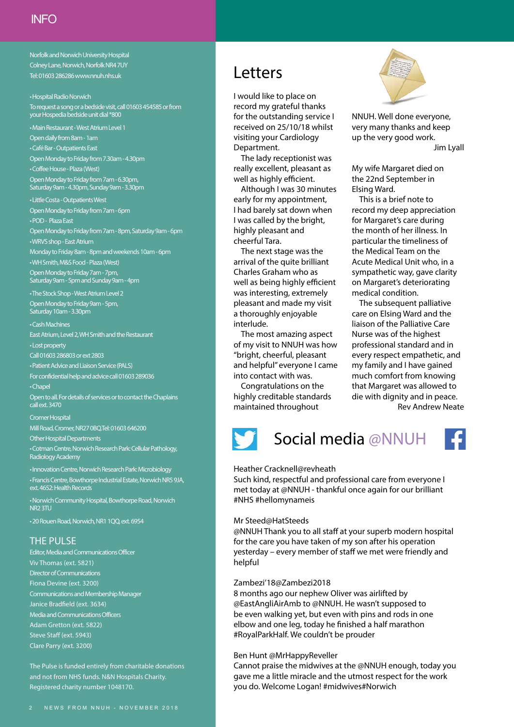Norfolk and Norwich University Hospital Colney Lane, Norwich, Norfolk NR4 7UY Tel: 01603 286286 www.nnuh.nhs.uk

#### • Hospital Radio Norwich

To request a song or a bedside visit, call 01603 454585 or from your Hospedia bedside unit dial \*800

• Main Restaurant - West Atrium Level 1

Open daily from 8am - 1am

• Café Bar - Outpatients East

Open Monday to Friday from 7.30am - 4.30pm

• Coffee House - Plaza (West)

Open Monday to Friday from 7am - 6.30pm, Saturday 9am - 4.30pm, Sunday 9am - 3.30pm

• Little Costa - Outpatients West Open Monday to Friday from 7am - 6pm

• POD - Plaza East Open Monday to Friday from 7am - 8pm, Saturday 9am - 6pm

• WRVS shop - East Atrium Monday to Friday 8am - 8pm and weekends 10am - 6pm

• WH Smith, M&S Food - Plaza (West)

Open Monday to Friday 7am - 7pm,

Saturday 9am - 5pm and Sunday 9am - 4pm • The Stock Shop - West Atrium Level 2

Open Monday to Friday 9am - 5pm, Saturday 10am - 3.30pm

• Cash Machines East Atrium, Level 2, WH Smith and the Restaurant

• Lost property

Call 01603 286803 or ext 2803

• Patient Advice and Liaison Service (PALS)

For confidential help and advice call 01603 289036 • Chapel

Open to all. For details of services or to contact the Chaplains call ext. 3470

#### Cromer Hospital

Mill Road, Cromer, NR27 0BQ.Tel: 01603 646200

Other Hospital Departments

• Cotman Centre, Norwich Research Park: Cellular Pathology, Radiology Academy

• Innovation Centre, Norwich Research Park: Microbiology • Francis Centre, Bowthorpe Industrial Estate, Norwich NR5 9JA, ext. 4652: Health Records

• Norwich Community Hospital, Bowthorpe Road, Norwich NR2 3TU

• 20 Rouen Road, Norwich, NR1 1QQ, ext. 6954

#### THE PULSE

Editor, Media and Communications Officer Viv Thomas (ext. 5821) Director of Communications Fiona Devine (ext. 3200) Communications and Membership Manager Janice Bradfield (ext. 3634) Media and Communications Officers Adam Gretton (ext. 5822) Steve Staff (ext. 5943) Clare Parry (ext. 3200)

The Pulse is funded entirely from charitable donations and not from NHS funds. N&N Hospitals Charity. Registered charity number 1048170.

## Letters

I would like to place on record my grateful thanks for the outstanding service I received on 25/10/18 whilst visiting your Cardiology Department.

The lady receptionist was really excellent, pleasant as well as highly efficient.

Although I was 30 minutes early for my appointment, I had barely sat down when I was called by the bright, highly pleasant and cheerful Tara.

The next stage was the arrival of the quite brilliant Charles Graham who as well as being highly efficient was interesting, extremely pleasant and made my visit a thoroughly enjoyable interlude.

The most amazing aspect of my visit to NNUH was how "bright, cheerful, pleasant and helpful" everyone I came into contact with was.

Congratulations on the highly creditable standards maintained throughout



NNUH. Well done everyone, very many thanks and keep up the very good work. Jim Lyall

My wife Margaret died on the 22nd September in Elsing Ward.

This is a brief note to record my deep appreciation for Margaret's care during the month of her illness. In particular the timeliness of the Medical Team on the Acute Medical Unit who, in a sympathetic way, gave clarity on Margaret's deteriorating medical condition.

The subsequent palliative care on Elsing Ward and the liaison of the Palliative Care Nurse was of the highest professional standard and in every respect empathetic, and my family and I have gained much comfort from knowing that Margaret was allowed to die with dignity and in peace.

Rev Andrew Neate



## Social media @NNUH



#### Heather Cracknell@revheath

Such kind, respectful and professional care from everyone I met today at @NNUH - thankful once again for our brilliant #NHS #hellomynameis

#### Mr Steed@HatSteeds

@NNUH Thank you to all staff at your superb modern hospital for the care you have taken of my son after his operation yesterday – every member of staff we met were friendly and helpful

#### Zambezi'18@Zambezi2018

8 months ago our nephew Oliver was airlifted by @EastAngliAirAmb to @NNUH. He wasn't supposed to be even walking yet, but even with pins and rods in one elbow and one leg, today he finished a half marathon #RoyalParkHalf. We couldn't be prouder

#### Ben Hunt @MrHappyReveller

Cannot praise the midwives at the @NNUH enough, today you gave me a little miracle and the utmost respect for the work you do. Welcome Logan! #midwives#Norwich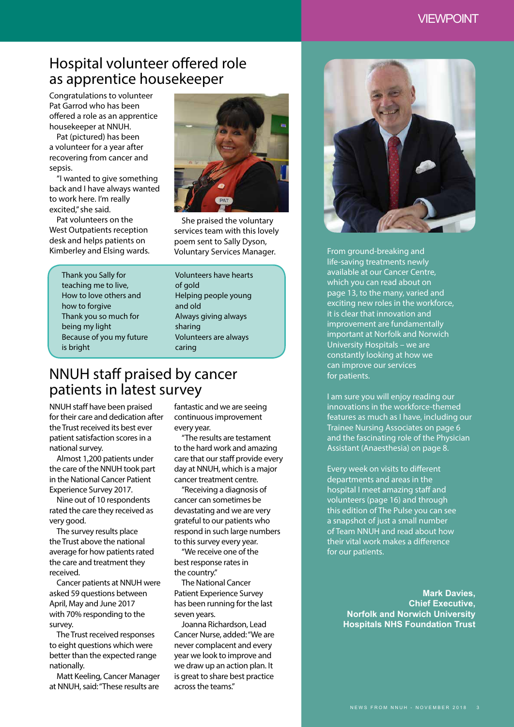#### VIEWPOINT

## Hospital volunteer offered role as apprentice housekeeper

Congratulations to volunteer Pat Garrod who has been offered a role as an apprentice housekeeper at NNUH.

Pat (pictured) has been a volunteer for a year after recovering from cancer and sepsis.

"I wanted to give something back and I have always wanted to work here. I'm really excited," she said.

Pat volunteers on the West Outpatients reception desk and helps patients on Kimberley and Elsing wards.

> Thank you Sally for teaching me to live, How to love others and how to forgive Thank you so much for being my light Because of you my future is bright



She praised the voluntary services team with this lovely poem sent to Sally Dyson, Voluntary Services Manager.

Volunteers have hearts of gold Helping people young and old Always giving always sharing Volunteers are always caring

### NNUH staff praised by cancer patients in latest survey

NNUH staff have been praised for their care and dedication after the Trust received its best ever patient satisfaction scores in a national survey.

Almost 1,200 patients under the care of the NNUH took part in the National Cancer Patient Experience Survey 2017.

Nine out of 10 respondents rated the care they received as very good.

The survey results place the Trust above the national average for how patients rated the care and treatment they received.

Cancer patients at NNUH were asked 59 questions between April, May and June 2017 with 70% responding to the survey.

The Trust received responses to eight questions which were better than the expected range nationally.

Matt Keeling, Cancer Manager at NNUH, said: "These results are

fantastic and we are seeing continuous improvement every year.

"The results are testament to the hard work and amazing care that our staff provide every day at NNUH, which is a major cancer treatment centre.

"Receiving a diagnosis of cancer can sometimes be devastating and we are very grateful to our patients who respond in such large numbers to this survey every year.

"We receive one of the best response rates in the country."

The National Cancer Patient Experience Survey has been running for the last seven years.

Joanna Richardson, Lead Cancer Nurse, added: "We are never complacent and every year we look to improve and we draw up an action plan. It is great to share best practice across the teams."



From ground-breaking and life-saving treatments newly available at our Cancer Centre, which you can read about on page 13, to the many, varied and exciting new roles in the workforce, it is clear that innovation and improvement are fundamentally important at Norfolk and Norwich University Hospitals – we are constantly looking at how we can improve our services for patients.

I am sure you will enjoy reading our innovations in the workforce-themed features as much as I have, including our Trainee Nursing Associates on page 6 and the fascinating role of the Physician Assistant (Anaesthesia) on page 8.

Every week on visits to different departments and areas in the hospital I meet amazing staff and volunteers (page 16) and through this edition of The Pulse you can see a snapshot of just a small number of Team NNUH and read about how their vital work makes a difference for our patients.

> **Mark Davies, Chief Executive, Norfolk and Norwich University Hospitals NHS Foundation Trust**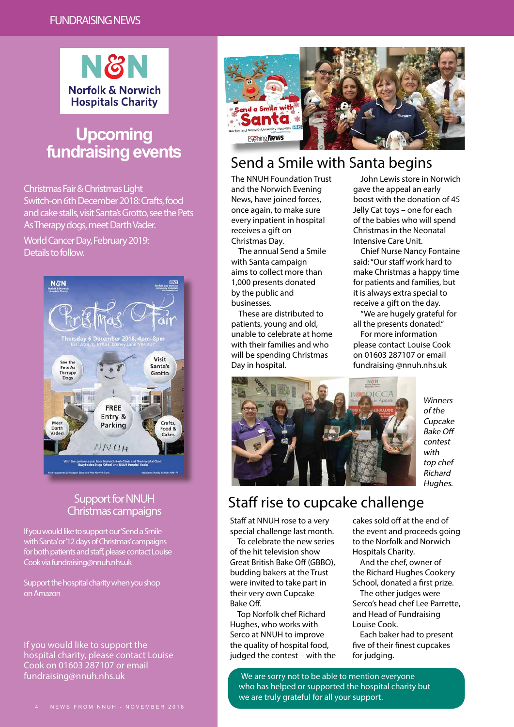

## **Upcoming fundraising events**

Christmas Fair & Christmas Light Switch-on 6th December 2018: Crafts, food and cake stalls, visit Santa's Grotto, see the Pets As Therapy dogs, meet Darth Vader.

World Cancer Day, February 2019: Details to follow.



#### Support for NNUH Christmas campaigns

If you would like to support our 'Send a Smile with Santa' or '12 days of Christmas' campaigns for both patients and staff, please contact Louise Cook via fundraising@nnuh.nhs.uk

Support the hospital charity when you shop on Amazon

If you would like to support the hospital charity, please contact Louise Cook on 01603 287107 or email fundraising@nnuh.nhs.uk



## Send a Smile with Santa begins

The NNUH Foundation Trust and the Norwich Evening News, have joined forces, once again, to make sure every inpatient in hospital receives a gift on Christmas Day.

The annual Send a Smile with Santa campaign aims to collect more than 1,000 presents donated by the public and businesses.

These are distributed to patients, young and old, unable to celebrate at home with their families and who will be spending Christmas Day in hospital.

John Lewis store in Norwich gave the appeal an early boost with the donation of 45 Jelly Cat toys – one for each of the babies who will spend Christmas in the Neonatal Intensive Care Unit.

Chief Nurse Nancy Fontaine said: "Our staff work hard to make Christmas a happy time for patients and families, but it is always extra special to receive a gift on the day.

"We are hugely grateful for all the presents donated." For more information please contact Louise Cook on 01603 287107 or email fundraising @nnuh.nhs.uk



Winners of the Cupcake Bake Off contest with top chef Richard Hughes.

## Staff rise to cupcake challenge

Staff at NNUH rose to a very special challenge last month.

To celebrate the new series of the hit television show Great British Bake Off (GBBO), budding bakers at the Trust were invited to take part in their very own Cupcake Bake Off.

Top Norfolk chef Richard Hughes, who works with Serco at NNUH to improve the quality of hospital food, judged the contest – with the cakes sold off at the end of the event and proceeds going to the Norfolk and Norwich Hospitals Charity.

And the chef, owner of the Richard Hughes Cookery School, donated a first prize.

The other judges were Serco's head chef Lee Parrette, and Head of Fundraising Louise Cook.

Each baker had to present five of their finest cupcakes for judging.

We are sorry not to be able to mention everyone who has helped or supported the hospital charity but we are truly grateful for all your support.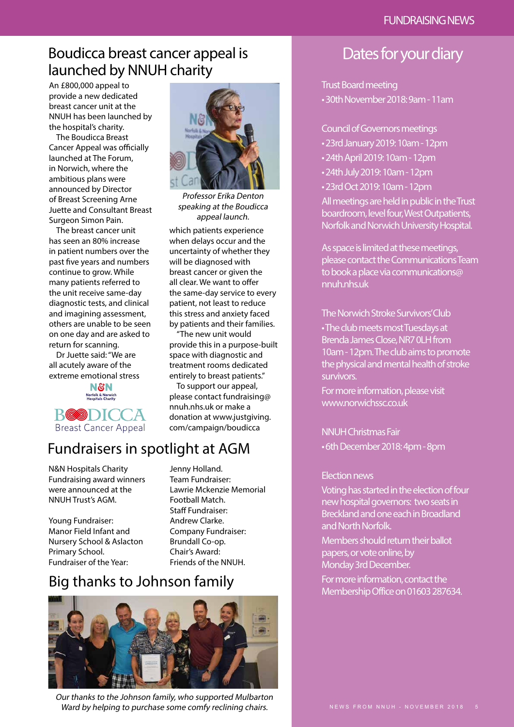## Boudicca breast cancer appeal is launched by NNUH charity

An £800,000 appeal to provide a new dedicated breast cancer unit at the NNUH has been launched by the hospital's charity.

The Boudicca Breast Cancer Appeal was officially launched at The Forum, in Norwich, where the ambitious plans were announced by Director of Breast Screening Arne Juette and Consultant Breast Surgeon Simon Pain.

The breast cancer unit has seen an 80% increase in patient numbers over the past five years and numbers continue to grow. While many patients referred to the unit receive same-day diagnostic tests, and clinical and imagining assessment, others are unable to be seen on one day and are asked to return for scanning.

Dr Juette said: "We are all acutely aware of the extreme emotional stress

> **N&N Norfolk & Norwich**<br>Hospitals Charity



## Fundraisers in spotlight at AGM

N&N Hospitals Charity Fundraising award winners were announced at the NNUH Trust's AGM.

Young Fundraiser: Manor Field Infant and Nursery School & Aslacton Primary School. Fundraiser of the Year:

Jenny Holland. Team Fundraiser: Lawrie Mckenzie Memorial Football Match. Staff Fundraiser: Andrew Clarke. Company Fundraiser: Brundall Co-op. Chair's Award: Friends of the NNUH.

## Big thanks to Johnson family



Our thanks to the Johnson family, who supported Mulbarton Ward by helping to purchase some comfy reclining chairs.



Professor Erika Denton speaking at the Boudicca appeal launch.

which patients experience when delays occur and the uncertainty of whether they will be diagnosed with breast cancer or given the all clear. We want to offer the same-day service to every patient, not least to reduce this stress and anxiety faced by patients and their families.

"The new unit would provide this in a purpose-built space with diagnostic and treatment rooms dedicated entirely to breast patients."

To support our appeal, please contact fundraising@ nnuh.nhs.uk or make a donation at www.justgiving. com/campaign/boudicca

## Dates for your diary

#### Trust Board meeting

• 30th November 2018: 9am - 11am

Council of Governors meetings

- 23rd January 2019: 10am 12pm
- 24th April 2019: 10am 12pm
- 24th July 2019: 10am 12pm
- 23rd Oct 2019: 10am 12pm

All meetings are held in public in the Trust boardroom, level four, West Outpatients, Norfolk and Norwich University Hospital.

As space is limited at these meetings, please contact the Communications Team to book a place via communications@ nnuh.nhs.uk

#### The Norwich Stroke Survivors' Club

• The club meets most Tuesdays at Brenda James Close, NR7 0LH from 10am - 12pm. The club aims to promote the physical and mental health of stroke survivors.

For more information, please visit www.norwichssc.co.uk

NNUH Christmas Fair • 6th December 2018: 4pm - 8pm

#### Election news

Voting has started in the election of four new hospital governors: two seats in Breckland and one each in Broadland and North Norfolk.

Members should return their ballot papers, or vote online, by Monday 3rd December. For more information, contact the Membership Office on 01603 287634.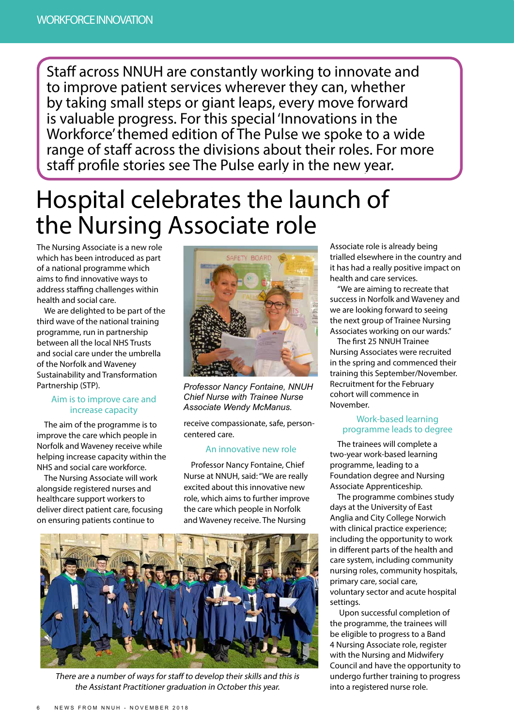Staff across NNUH are constantly working to innovate and to improve patient services wherever they can, whether by taking small steps or giant leaps, every move forward is valuable progress. For this special 'Innovations in the Workforce' themed edition of The Pulse we spoke to a wide range of staff across the divisions about their roles. For more staff profile stories see The Pulse early in the new year.

# Hospital celebrates the launch of the Nursing Associate role

The Nursing Associate is a new role which has been introduced as part of a national programme which aims to find innovative ways to address staffing challenges within health and social care.

We are delighted to be part of the third wave of the national training programme, run in partnership between all the local NHS Trusts and social care under the umbrella of the Norfolk and Waveney Sustainability and Transformation Partnership (STP).

#### Aim is to improve care and increase capacity

The aim of the programme is to improve the care which people in Norfolk and Waveney receive while helping increase capacity within the NHS and social care workforce.

The Nursing Associate will work alongside registered nurses and healthcare support workers to deliver direct patient care, focusing on ensuring patients continue to



*Professor Nancy Fontaine, NNUH Chief Nurse with Trainee Nurse Associate Wendy McManus.*

receive compassionate, safe, personcentered care.

#### An innovative new role

Professor Nancy Fontaine, Chief Nurse at NNUH, said: "We are really excited about this innovative new role, which aims to further improve the care which people in Norfolk and Waveney receive. The Nursing



There are a number of ways for staff to develop their skills and this is the Assistant Practitioner graduation in October this year.

Associate role is already being trialled elsewhere in the country and it has had a really positive impact on health and care services.

"We are aiming to recreate that success in Norfolk and Waveney and we are looking forward to seeing the next group of Trainee Nursing Associates working on our wards."

The first 25 NNUH Trainee Nursing Associates were recruited in the spring and commenced their training this September/November. Recruitment for the February cohort will commence in November.

#### Work-based learning programme leads to degree

The trainees will complete a two-year work-based learning programme, leading to a Foundation degree and Nursing Associate Apprenticeship.

The programme combines study days at the University of East Anglia and City College Norwich with clinical practice experience; including the opportunity to work in different parts of the health and care system, including community nursing roles, community hospitals, primary care, social care, voluntary sector and acute hospital settings.

 Upon successful completion of the programme, the trainees will be eligible to progress to a Band 4 Nursing Associate role, register with the Nursing and Midwifery Council and have the opportunity to undergo further training to progress into a registered nurse role.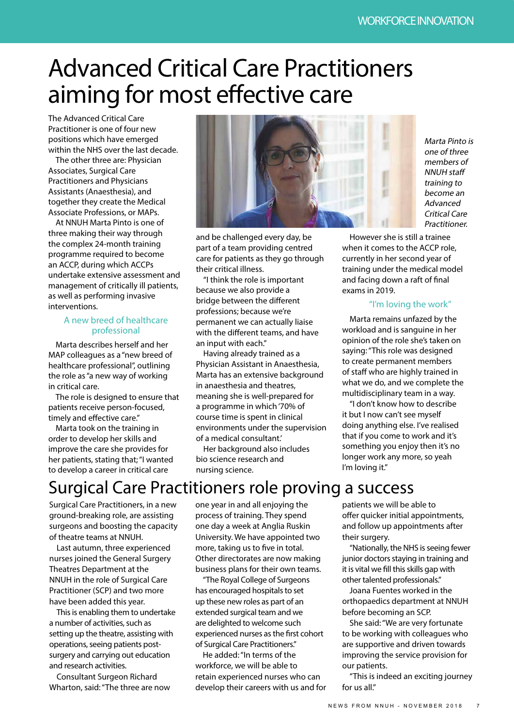# Advanced Critical Care Practitioners aiming for most effective care

The Advanced Critical Care Practitioner is one of four new positions which have emerged within the NHS over the last decade.

The other three are: Physician Associates, Surgical Care Practitioners and Physicians Assistants (Anaesthesia), and together they create the Medical Associate Professions, or MAPs.

At NNUH Marta Pinto is one of three making their way through the complex 24-month training programme required to become an ACCP, during which ACCPs undertake extensive assessment and management of critically ill patients, as well as performing invasive interventions.

#### A new breed of healthcare professional

Marta describes herself and her MAP colleagues as a "new breed of healthcare professional", outlining the role as "a new way of working in critical care.

The role is designed to ensure that patients receive person-focused, timely and effective care."

Marta took on the training in order to develop her skills and improve the care she provides for her patients, stating that; "I wanted to develop a career in critical care



and be challenged every day, be part of a team providing centred care for patients as they go through their critical illness.

"I think the role is important because we also provide a bridge between the different professions; because we're permanent we can actually liaise with the different teams, and have an input with each."

Having already trained as a Physician Assistant in Anaesthesia, Marta has an extensive background in anaesthesia and theatres, meaning she is well-prepared for a programme in which '70% of course time is spent in clinical environments under the supervision of a medical consultant.'

Her background also includes bio science research and nursing science.

Marta Pinto is one of three members of NNUH staff training to become an Advanced Critical Care **Practitioner** 

However she is still a trainee when it comes to the ACCP role, currently in her second year of training under the medical model and facing down a raft of final exams in 2019.

#### "I'm loving the work"

Marta remains unfazed by the workload and is sanguine in her opinion of the role she's taken on saying: "This role was designed to create permanent members of staff who are highly trained in what we do, and we complete the multidisciplinary team in a way.

"I don't know how to describe it but I now can't see myself doing anything else. I've realised that if you come to work and it's something you enjoy then it's no longer work any more, so yeah I'm loving it."

# Surgical Care Practitioners role proving a success

Surgical Care Practitioners, in a new ground-breaking role, are assisting surgeons and boosting the capacity of theatre teams at NNUH.

Last autumn, three experienced nurses joined the General Surgery Theatres Department at the NNUH in the role of Surgical Care Practitioner (SCP) and two more have been added this year.

This is enabling them to undertake a number of activities, such as setting up the theatre, assisting with operations, seeing patients postsurgery and carrying out education and research activities.

Consultant Surgeon Richard Wharton, said: "The three are now one year in and all enjoying the process of training. They spend one day a week at Anglia Ruskin University. We have appointed two more, taking us to five in total. Other directorates are now making business plans for their own teams.

"The Royal College of Surgeons has encouraged hospitals to set up these new roles as part of an extended surgical team and we are delighted to welcome such experienced nurses as the first cohort of Surgical Care Practitioners."

He added: "In terms of the workforce, we will be able to retain experienced nurses who can develop their careers with us and for patients we will be able to offer quicker initial appointments, and follow up appointments after their surgery.

"Nationally, the NHS is seeing fewer junior doctors staying in training and it is vital we fill this skills gap with other talented professionals."

Joana Fuentes worked in the orthopaedics department at NNUH before becoming an SCP.

She said: "We are very fortunate to be working with colleagues who are supportive and driven towards improving the service provision for our patients.

"This is indeed an exciting journey for us all"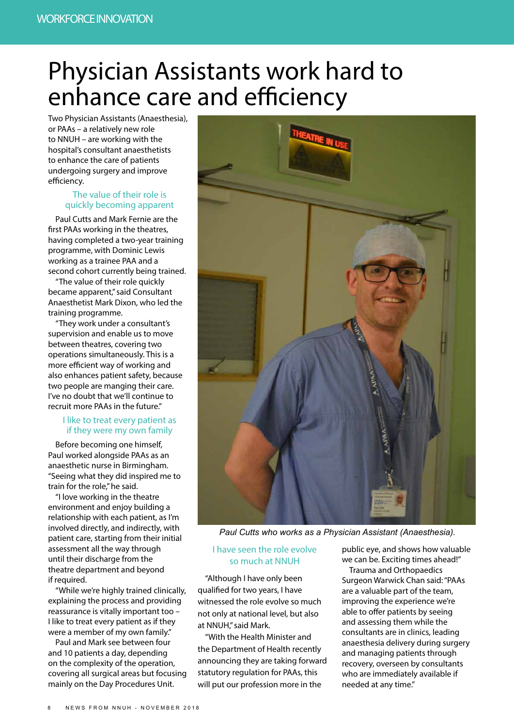# Physician Assistants work hard to enhance care and efficiency

Two Physician Assistants (Anaesthesia), or PAAs – a relatively new role to NNUH – are working with the hospital's consultant anaesthetists to enhance the care of patients undergoing surgery and improve efficiency.

#### The value of their role is quickly becoming apparent

Paul Cutts and Mark Fernie are the first PAAs working in the theatres, having completed a two-year training programme, with Dominic Lewis working as a trainee PAA and a second cohort currently being trained.

"The value of their role quickly became apparent," said Consultant Anaesthetist Mark Dixon, who led the training programme.

"They work under a consultant's supervision and enable us to move between theatres, covering two operations simultaneously. This is a more efficient way of working and also enhances patient safety, because two people are manging their care. I've no doubt that we'll continue to recruit more PAAs in the future."

#### I like to treat every patient as if they were my own family

Before becoming one himself, Paul worked alongside PAAs as an anaesthetic nurse in Birmingham. "Seeing what they did inspired me to train for the role," he said.

"I love working in the theatre environment and enjoy building a relationship with each patient, as I'm involved directly, and indirectly, with patient care, starting from their initial assessment all the way through until their discharge from the theatre department and beyond if required.

"While we're highly trained clinically, explaining the process and providing reassurance is vitally important too – I like to treat every patient as if they were a member of my own family."

Paul and Mark see between four and 10 patients a day, depending on the complexity of the operation, covering all surgical areas but focusing mainly on the Day Procedures Unit.



*Paul Cutts who works as a Physician Assistant (Anaesthesia).*

#### I have seen the role evolve so much at NNUH

"Although I have only been qualified for two years, I have witnessed the role evolve so much not only at national level, but also at NNUH," said Mark.

"With the Health Minister and the Department of Health recently announcing they are taking forward statutory regulation for PAAs, this will put our profession more in the

public eye, and shows how valuable we can be. Exciting times ahead!"

Trauma and Orthopaedics Surgeon Warwick Chan said: "PAAs are a valuable part of the team, improving the experience we're able to offer patients by seeing and assessing them while the consultants are in clinics, leading anaesthesia delivery during surgery and managing patients through recovery, overseen by consultants who are immediately available if needed at any time."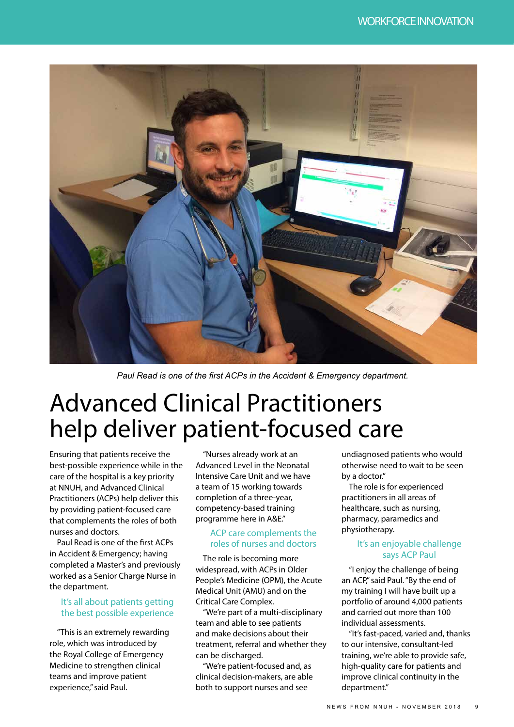

*Paul Read is one of the first ACPs in the Accident & Emergency department.*

# Advanced Clinical Practitioners help deliver patient-focused care

Ensuring that patients receive the best-possible experience while in the care of the hospital is a key priority at NNUH, and Advanced Clinical Practitioners (ACPs) help deliver this by providing patient-focused care that complements the roles of both nurses and doctors.

Paul Read is one of the first ACPs in Accident & Emergency; having completed a Master's and previously worked as a Senior Charge Nurse in the department.

#### It's all about patients getting the best possible experience

"This is an extremely rewarding role, which was introduced by the Royal College of Emergency Medicine to strengthen clinical teams and improve patient experience," said Paul.

"Nurses already work at an Advanced Level in the Neonatal Intensive Care Unit and we have a team of 15 working towards completion of a three-year, competency-based training programme here in A&E."

#### ACP care complements the roles of nurses and doctors

The role is becoming more widespread, with ACPs in Older People's Medicine (OPM), the Acute Medical Unit (AMU) and on the Critical Care Complex.

"We're part of a multi-disciplinary team and able to see patients and make decisions about their treatment, referral and whether they can be discharged.

"We're patient-focused and, as clinical decision-makers, are able both to support nurses and see

undiagnosed patients who would otherwise need to wait to be seen by a doctor."

The role is for experienced practitioners in all areas of healthcare, such as nursing, pharmacy, paramedics and physiotherapy.

#### It's an enjoyable challenge says ACP Paul

"I enjoy the challenge of being an ACP," said Paul. "By the end of my training I will have built up a portfolio of around 4,000 patients and carried out more than 100 individual assessments.

"It's fast-paced, varied and, thanks to our intensive, consultant-led training, we're able to provide safe, high-quality care for patients and improve clinical continuity in the department."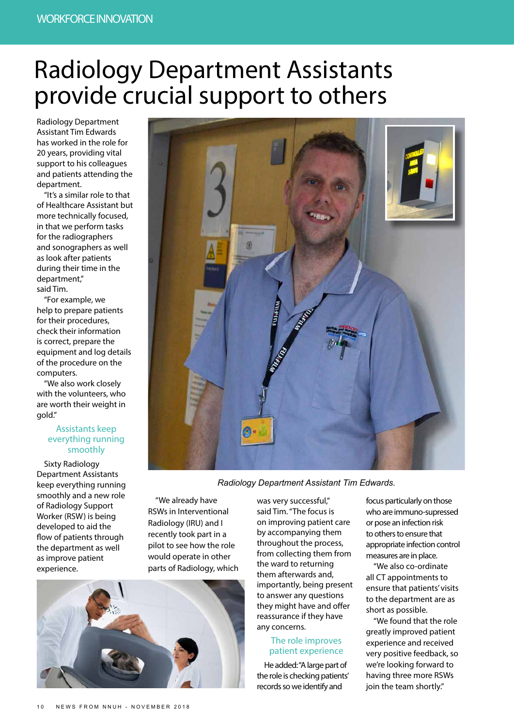# Radiology Department Assistants provide crucial support to others

Radiology Department Assistant Tim Edwards has worked in the role for 20 years, providing vital support to his colleagues and patients attending the department.

"It's a similar role to that of Healthcare Assistant but more technically focused, in that we perform tasks for the radiographers and sonographers as well as look after patients during their time in the department," said Tim.

"For example, we help to prepare patients for their procedures, check their information is correct, prepare the equipment and log details of the procedure on the computers.

"We also work closely with the volunteers, who are worth their weight in gold."

#### Assistants keep everything running smoothly

Sixty Radiology Department Assistants keep everything running smoothly and a new role of Radiology Support Worker (RSW) is being developed to aid the flow of patients through the department as well as improve patient experience.



*Radiology Department Assistant Tim Edwards.*

"We already have RSWs in Interventional Radiology (IRU) and I recently took part in a pilot to see how the role would operate in other parts of Radiology, which



was very successful," said Tim. "The focus is on improving patient care by accompanying them throughout the process, from collecting them from the ward to returning them afterwards and, importantly, being present to answer any questions they might have and offer reassurance if they have any concerns.

#### The role improves patient experience

He added: "A large part of the role is checking patients' records so we identify and

focus particularly on those who are immuno-supressed or pose an infection risk to others to ensure that appropriate infection control measures are in place.

"We also co-ordinate all CT appointments to ensure that patients' visits to the department are as short as possible.

"We found that the role greatly improved patient experience and received very positive feedback, so we're looking forward to having three more RSWs join the team shortly."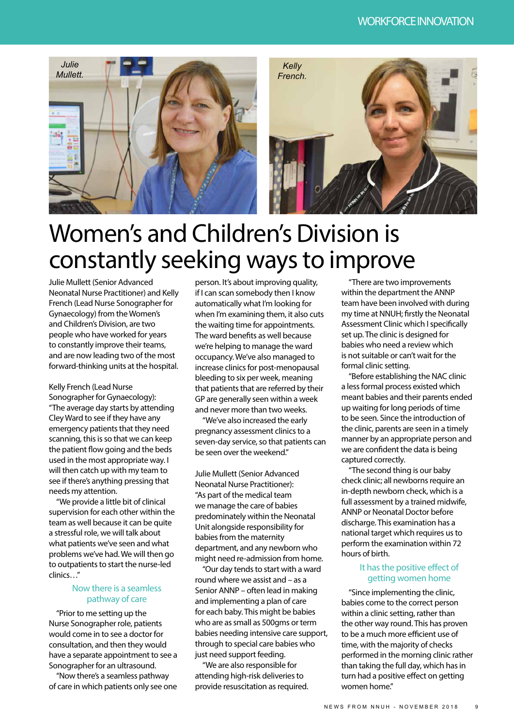

# Women's and Children's Division is constantly seeking ways to improve

Julie Mullett (Senior Advanced Neonatal Nurse Practitioner) and Kelly French (Lead Nurse Sonographer for Gynaecology) from the Women's and Children's Division, are two people who have worked for years to constantly improve their teams, and are now leading two of the most forward-thinking units at the hospital.

Kelly French (Lead Nurse Sonographer for Gynaecology): "The average day starts by attending Cley Ward to see if they have any emergency patients that they need scanning, this is so that we can keep the patient flow going and the beds used in the most appropriate way. I will then catch up with my team to see if there's anything pressing that needs my attention.

"We provide a little bit of clinical supervision for each other within the team as well because it can be quite a stressful role, we will talk about what patients we've seen and what problems we've had. We will then go to outpatients to start the nurse-led clinics…"

#### Now there is a seamless pathway of care

"Prior to me setting up the Nurse Sonographer role, patients would come in to see a doctor for consultation, and then they would have a separate appointment to see a Sonographer for an ultrasound.

"Now there's a seamless pathway of care in which patients only see one person. It's about improving quality, if I can scan somebody then I know automatically what I'm looking for when I'm examining them, it also cuts the waiting time for appointments. The ward benefits as well because we're helping to manage the ward occupancy. We've also managed to increase clinics for post-menopausal bleeding to six per week, meaning that patients that are referred by their GP are generally seen within a week and never more than two weeks.

"We've also increased the early pregnancy assessment clinics to a seven-day service, so that patients can be seen over the weekend"

Julie Mullett (Senior Advanced Neonatal Nurse Practitioner): "As part of the medical team we manage the care of babies predominately within the Neonatal Unit alongside responsibility for babies from the maternity department, and any newborn who might need re-admission from home.

"Our day tends to start with a ward round where we assist and – as a Senior ANNP – often lead in making and implementing a plan of care for each baby. This might be babies who are as small as 500gms or term babies needing intensive care support, through to special care babies who just need support feeding.

"We are also responsible for attending high-risk deliveries to provide resuscitation as required.

"There are two improvements within the department the ANNP team have been involved with during my time at NNUH; firstly the Neonatal Assessment Clinic which I specifically set up. The clinic is designed for babies who need a review which is not suitable or can't wait for the formal clinic setting.

"Before establishing the NAC clinic a less formal process existed which meant babies and their parents ended up waiting for long periods of time to be seen. Since the introduction of the clinic, parents are seen in a timely manner by an appropriate person and we are confident the data is being captured correctly.

"The second thing is our baby check clinic; all newborns require an in-depth newborn check, which is a full assessment by a trained midwife, ANNP or Neonatal Doctor before discharge. This examination has a national target which requires us to perform the examination within 72 hours of birth.

#### It has the positive effect of getting women home

"Since implementing the clinic, babies come to the correct person within a clinic setting, rather than the other way round. This has proven to be a much more efficient use of time, with the majority of checks performed in the morning clinic rather than taking the full day, which has in turn had a positive effect on getting women home."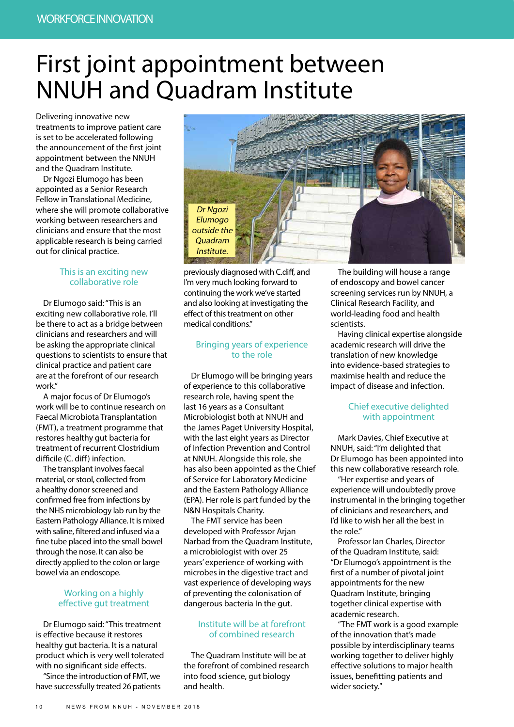# First joint appointment between NNUH and Quadram Institute

Delivering innovative new treatments to improve patient care is set to be accelerated following the announcement of the first joint appointment between the NNUH and the Quadram Institute.

Dr Ngozi Elumogo has been appointed as a Senior Research Fellow in Translational Medicine, where she will promote collaborative working between researchers and clinicians and ensure that the most applicable research is being carried out for clinical practice.

#### This is an exciting new collaborative role

Dr Elumogo said: "This is an exciting new collaborative role. I'll be there to act as a bridge between clinicians and researchers and will be asking the appropriate clinical questions to scientists to ensure that clinical practice and patient care are at the forefront of our research work."

A major focus of Dr Elumogo's work will be to continue research on Faecal Microbiota Transplantation (FMT), a treatment programme that restores healthy gut bacteria for treatment of recurrent Clostridium difficile (C. diff) infection.

The transplant involves faecal material, or stool, collected from a healthy donor screened and confirmed free from infections by the NHS microbiology lab run by the Eastern Pathology Alliance. It is mixed with saline, filtered and infused via a fine tube placed into the small bowel through the nose. It can also be directly applied to the colon or large bowel via an endoscope.

#### Working on a highly effective gut treatment

Dr Elumogo said: "This treatment is effective because it restores healthy gut bacteria. It is a natural product which is very well tolerated with no significant side effects.

"Since the introduction of FMT, we have successfully treated 26 patients



previously diagnosed with C.diff, and I'm very much looking forward to continuing the work we've started and also looking at investigating the effect of this treatment on other medical conditions."

#### Bringing years of experience to the role

Dr Elumogo will be bringing years of experience to this collaborative research role, having spent the last 16 years as a Consultant Microbiologist both at NNUH and the James Paget University Hospital, with the last eight years as Director of Infection Prevention and Control at NNUH. Alongside this role, she has also been appointed as the Chief of Service for Laboratory Medicine and the Eastern Pathology Alliance (EPA). Her role is part funded by the N&N Hospitals Charity.

The FMT service has been developed with Professor Arjan Narbad from the Quadram Institute, a microbiologist with over 25 years' experience of working with microbes in the digestive tract and vast experience of developing ways of preventing the colonisation of dangerous bacteria In the gut.

#### Institute will be at forefront of combined research

The Quadram Institute will be at the forefront of combined research into food science, gut biology and health.

The building will house a range of endoscopy and bowel cancer screening services run by NNUH, a Clinical Research Facility, and world-leading food and health scientists.

Having clinical expertise alongside academic research will drive the translation of new knowledge into evidence-based strategies to maximise health and reduce the impact of disease and infection.

#### Chief executive delighted with appointment

Mark Davies, Chief Executive at NNUH, said: "I'm delighted that Dr Elumogo has been appointed into this new collaborative research role.

"Her expertise and years of experience will undoubtedly prove instrumental in the bringing together of clinicians and researchers, and I'd like to wish her all the best in the role."

Professor Ian Charles, Director of the Quadram Institute, said: "Dr Elumogo's appointment is the first of a number of pivotal joint appointments for the new Quadram Institute, bringing together clinical expertise with academic research.

"The FMT work is a good example of the innovation that's made possible by interdisciplinary teams working together to deliver highly effective solutions to major health issues, benefitting patients and wider society."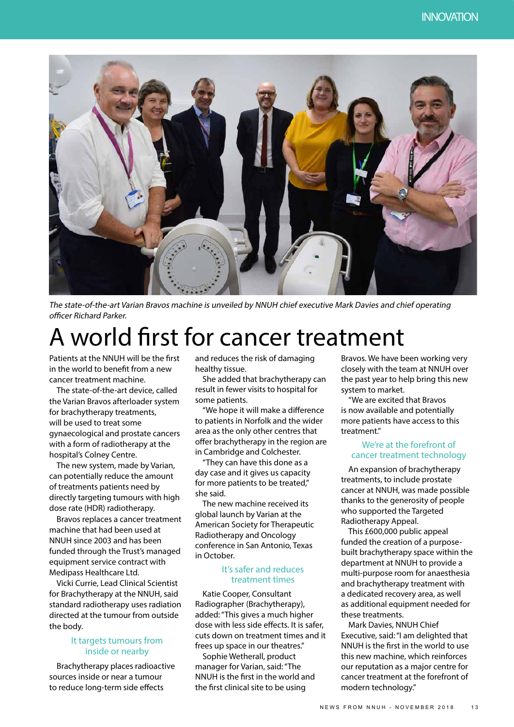

The state-of-the-art Varian Bravos machine is unveiled by NNUH chief executive Mark Davies and chief operating officer Richard Parker.

# A world first for cancer treatment

Patients at the NNUH will be the first in the world to benefit from a new cancer treatment machine.

The state-of-the-art device, called the Varian Bravos afterloader system for brachytherapy treatments, will be used to treat some gynaecological and prostate cancers with a form of radiotherapy at the hospital's Colney Centre.

The new system, made by Varian, can potentially reduce the amount of treatments patients need by directly targeting tumours with high dose rate (HDR) radiotherapy.

Bravos replaces a cancer treatment machine that had been used at NNUH since 2003 and has been funded through the Trust's managed equipment service contract with Medipass Healthcare Ltd.

Vicki Currie, Lead Clinical Scientist for Brachytherapy at the NNUH, said standard radiotherapy uses radiation directed at the tumour from outside the body.

#### It targets tumours from inside or nearby

Brachytherapy places radioactive sources inside or near a tumour to reduce long-term side effects

and reduces the risk of damaging healthy tissue.

She added that brachytherapy can result in fewer visits to hospital for some patients.

"We hope it will make a difference to patients in Norfolk and the wider area as the only other centres that offer brachytherapy in the region are in Cambridge and Colchester.

"They can have this done as a day case and it gives us capacity for more patients to be treated," she said.

The new machine received its global launch by Varian at the American Society for Therapeutic Radiotherapy and Oncology conference in San Antonio, Texas in October.

#### It's safer and reduces treatment times

Katie Cooper, Consultant Radiographer (Brachytherapy), added: "This gives a much higher dose with less side effects. It is safer, cuts down on treatment times and it frees up space in our theatres."

Sophie Wetherall, product manager for Varian, said: "The NNUH is the first in the world and the first clinical site to be using

Bravos. We have been working very closely with the team at NNUH over the past year to help bring this new system to market.

"We are excited that Bravos is now available and potentially more patients have access to this treatment."

#### We're at the forefront of cancer treatment technology

An expansion of brachytherapy treatments, to include prostate cancer at NNUH, was made possible thanks to the generosity of people who supported the Targeted Radiotherapy Appeal.

This £600,000 public appeal funded the creation of a purposebuilt brachytherapy space within the department at NNUH to provide a multi-purpose room for anaesthesia and brachytherapy treatment with a dedicated recovery area, as well as additional equipment needed for these treatments.

Mark Davies, NNUH Chief Executive, said: "I am delighted that NNUH is the first in the world to use this new machine, which reinforces our reputation as a major centre for cancer treatment at the forefront of modern technology."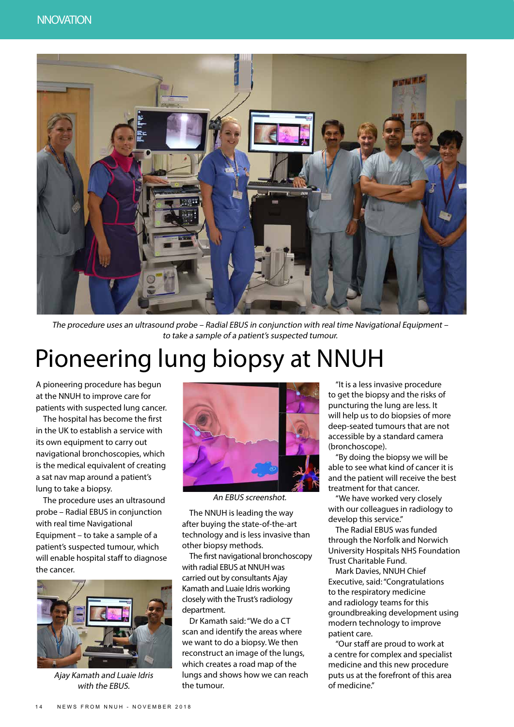

The procedure uses an ultrasound probe – Radial EBUS in conjunction with real time Navigational Equipment – to take a sample of a patient's suspected tumour.

# Pioneering lung biopsy at NNUH

A pioneering procedure has begun at the NNUH to improve care for patients with suspected lung cancer.

The hospital has become the first in the UK to establish a service with its own equipment to carry out navigational bronchoscopies, which is the medical equivalent of creating a sat nav map around a patient's lung to take a biopsy.

The procedure uses an ultrasound probe – Radial EBUS in conjunction with real time Navigational Equipment – to take a sample of a patient's suspected tumour, which will enable hospital staff to diagnose the cancer.



Ajay Kamath and Luaie Idris with the EBUS.



An EBUS screenshot.

The NNUH is leading the way after buying the state-of-the-art technology and is less invasive than other biopsy methods.

The first navigational bronchoscopy with radial EBUS at NNUH was carried out by consultants Ajay Kamath and Luaie Idris working closely with the Trust's radiology department.

Dr Kamath said: "We do a CT scan and identify the areas where we want to do a biopsy. We then reconstruct an image of the lungs, which creates a road map of the lungs and shows how we can reach the tumour.

"It is a less invasive procedure to get the biopsy and the risks of puncturing the lung are less. It will help us to do biopsies of more deep-seated tumours that are not accessible by a standard camera (bronchoscope).

"By doing the biopsy we will be able to see what kind of cancer it is and the patient will receive the best treatment for that cancer.

"We have worked very closely with our colleagues in radiology to develop this service."

The Radial EBUS was funded through the Norfolk and Norwich University Hospitals NHS Foundation Trust Charitable Fund.

Mark Davies, NNUH Chief Executive, said: "Congratulations to the respiratory medicine and radiology teams for this groundbreaking development using modern technology to improve patient care.

"Our staff are proud to work at a centre for complex and specialist medicine and this new procedure puts us at the forefront of this area of medicine."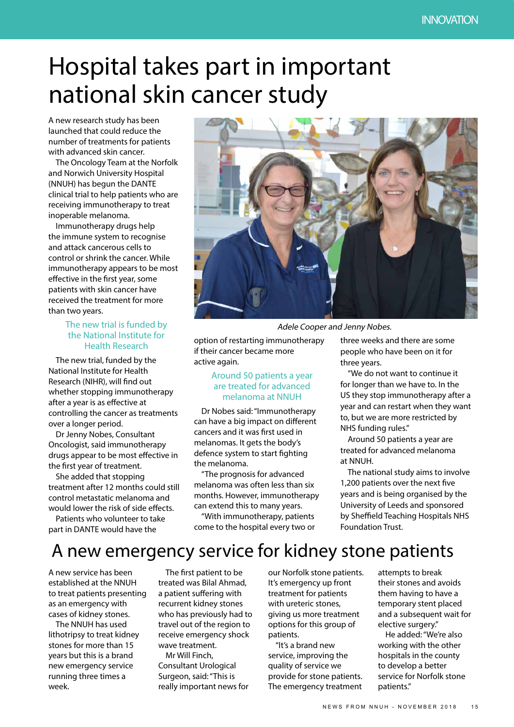# Hospital takes part in important national skin cancer study

A new research study has been launched that could reduce the number of treatments for patients with advanced skin cancer.

The Oncology Team at the Norfolk and Norwich University Hospital (NNUH) has begun the DANTE clinical trial to help patients who are receiving immunotherapy to treat inoperable melanoma.

Immunotherapy drugs help the immune system to recognise and attack cancerous cells to control or shrink the cancer. While immunotherapy appears to be most effective in the first year, some patients with skin cancer have received the treatment for more than two years.

#### The new trial is funded by the National Institute for Health Research

The new trial, funded by the National Institute for Health Research (NIHR), will find out whether stopping immunotherapy after a year is as effective at controlling the cancer as treatments over a longer period.

Dr Jenny Nobes, Consultant Oncologist, said immunotherapy drugs appear to be most effective in the first year of treatment.

She added that stopping treatment after 12 months could still control metastatic melanoma and would lower the risk of side effects.

Patients who volunteer to take part in DANTE would have the



Adele Cooper and Jenny Nobes.

option of restarting immunotherapy if their cancer became more active again.

#### Around 50 patients a year are treated for advanced melanoma at NNUH

Dr Nobes said: "Immunotherapy can have a big impact on different cancers and it was first used in melanomas. It gets the body's defence system to start fighting the melanoma.

"The prognosis for advanced melanoma was often less than six months. However, immunotherapy can extend this to many years.

"With immunotherapy, patients come to the hospital every two or three weeks and there are some people who have been on it for three years.

"We do not want to continue it for longer than we have to. In the US they stop immunotherapy after a year and can restart when they want to, but we are more restricted by NHS funding rules."

Around 50 patients a year are treated for advanced melanoma at NNUH.

The national study aims to involve 1,200 patients over the next five years and is being organised by the University of Leeds and sponsored by Sheffield Teaching Hospitals NHS Foundation Trust.

## A new emergency service for kidney stone patients

A new service has been established at the NNUH to treat patients presenting as an emergency with cases of kidney stones.

The NNUH has used lithotripsy to treat kidney stones for more than 15 years but this is a brand new emergency service running three times a week.

The first patient to be treated was Bilal Ahmad, a patient suffering with recurrent kidney stones who has previously had to travel out of the region to receive emergency shock wave treatment.

Mr Will Finch, Consultant Urological Surgeon, said: "This is really important news for our Norfolk stone patients. It's emergency up front treatment for patients with ureteric stones, giving us more treatment options for this group of patients.

"It's a brand new service, improving the quality of service we provide for stone patients. The emergency treatment attempts to break their stones and avoids them having to have a temporary stent placed and a subsequent wait for elective surgery."

He added: "We're also working with the other hospitals in the county to develop a better service for Norfolk stone patients."